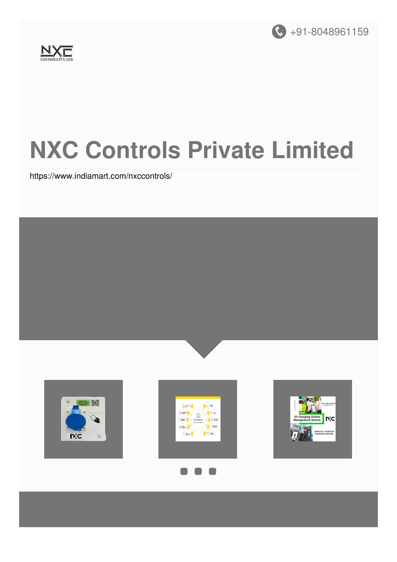



# **NXC Controls Private Limited**

<https://www.indiamart.com/nxccontrols/>

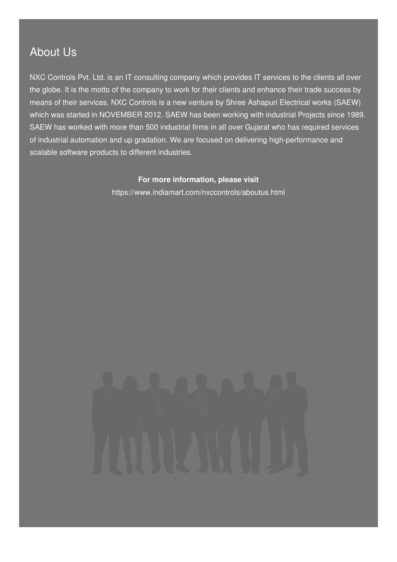### About Us

NXC Controls Pvt. Ltd. is an IT consulting company which provides IT services to the clients all over the globe. It is the motto of the company to work for their clients and enhance their trade success by means of their services. NXC Controls is a new venture by Shree Ashapuri Electrical works (SAEW) which was started in NOVEMBER 2012. SAEW has been working with industrial Projects since 1989. SAEW has worked with more than 500 industrial firms in all over Gujarat who has required services of industrial automation and up gradation. We are focused on delivering high-performance and scalable software products to different industries.

#### **For more information, please visit**

<https://www.indiamart.com/nxccontrols/aboutus.html>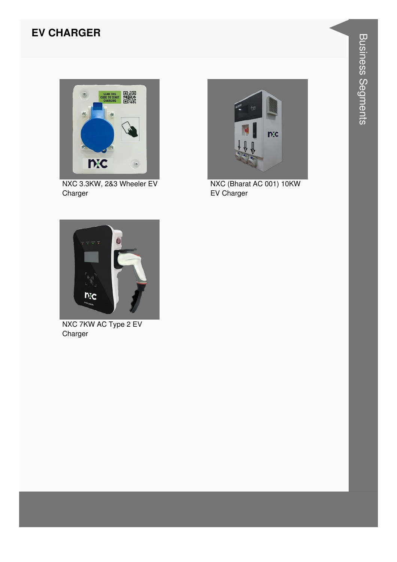#### **EV CHARGER**



NXC 3.3KW, 2&3 Wheeler EV Charger



NXC (Bharat AC 001) 10KW EV Charger



NXC 7KW AC Type 2 EV Charger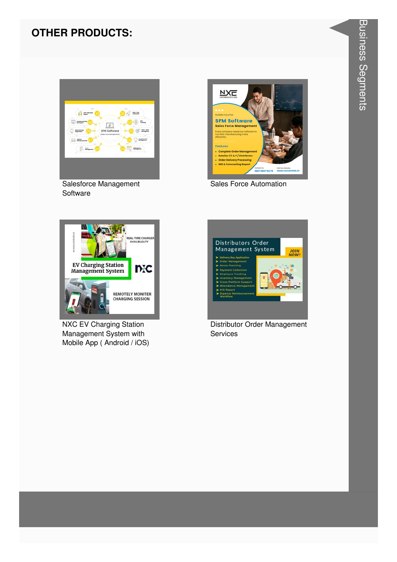#### **OTHER PRODUCTS:**



Salesforce Management Software



Sales Force Automation



**NXC EV Charging Station** Management System with Mobile App (Android / iOS)



Distributor Order Management **Services**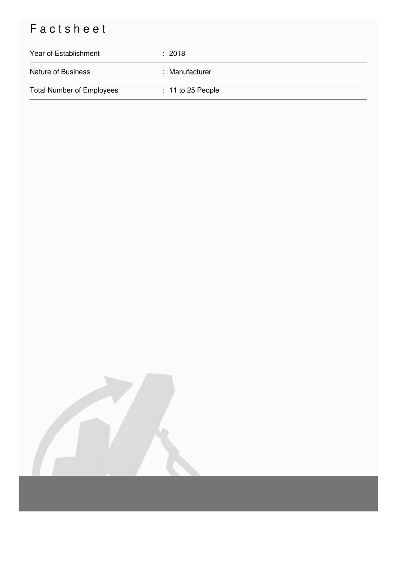## Factsheet

| Year of Establishment            | $\therefore$ 2018   |
|----------------------------------|---------------------|
| <b>Nature of Business</b>        | : Manufacturer      |
| <b>Total Number of Employees</b> | $: 11$ to 25 People |